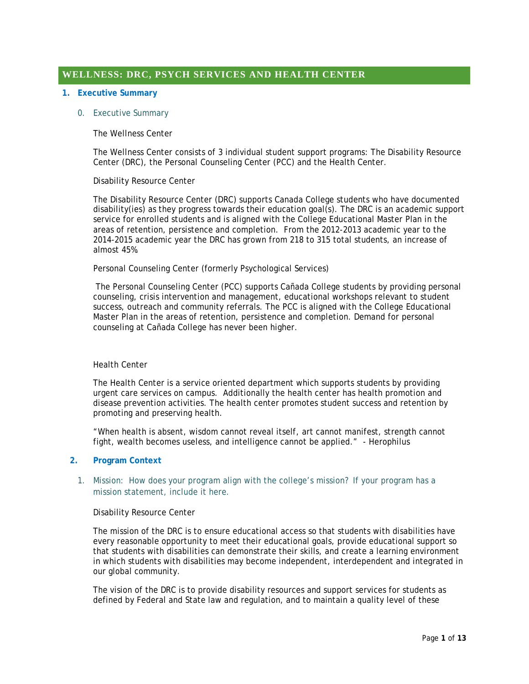# **WELLNESS: DRC, PSYCH SERVICES AND HEALTH CENTER**

### **1. Executive Summary**

### 0. Executive Summary

# The Wellness Center

The Wellness Center consists of 3 individual student support programs: The Disability Resource Center (DRC), the Personal Counseling Center (PCC) and the Health Center.

### Disability Resource Center

The Disability Resource Center (DRC) supports Canada College students who have documented disability(ies) as they progress towards their education goal(s). The DRC is an academic support service for enrolled students and is aligned with the College Educational Master Plan in the areas of retention, persistence and completion. From the 2012-2013 academic year to the 2014-2015 academic year the DRC has grown from 218 to 315 total students, an increase of almost 45%.

### Personal Counseling Center (formerly Psychological Services)

The Personal Counseling Center (PCC) supports Cañada College students by providing personal counseling, crisis intervention and management, educational workshops relevant to student success, outreach and community referrals. The PCC is aligned with the College Educational Master Plan in the areas of retention, persistence and completion. Demand for personal counseling at Cañada College has never been higher.

#### Health Center

The Health Center is a service oriented department which supports students by providing urgent care services on campus. Additionally the health center has health promotion and disease prevention activities. The health center promotes student success and retention by promoting and preserving health.

"When health is absent, wisdom cannot reveal itself, art cannot manifest, strength cannot fight, wealth becomes useless, and intelligence cannot be applied." - Herophilus

### **2. Program Context**

# 1. Mission: How does your program align with the college's mission? If your program has a mission statement, include it here.

#### Disability Resource Center

The mission of the DRC is to ensure educational access so that students with disabilities have every reasonable opportunity to meet their educational goals, provide educational support so that students with disabilities can demonstrate their skills, and create a learning environment in which students with disabilities may become independent, interdependent and integrated in our global community.

The vision of the DRC is to provide disability resources and support services for students as defined by Federal and State law and regulation, and to maintain a quality level of these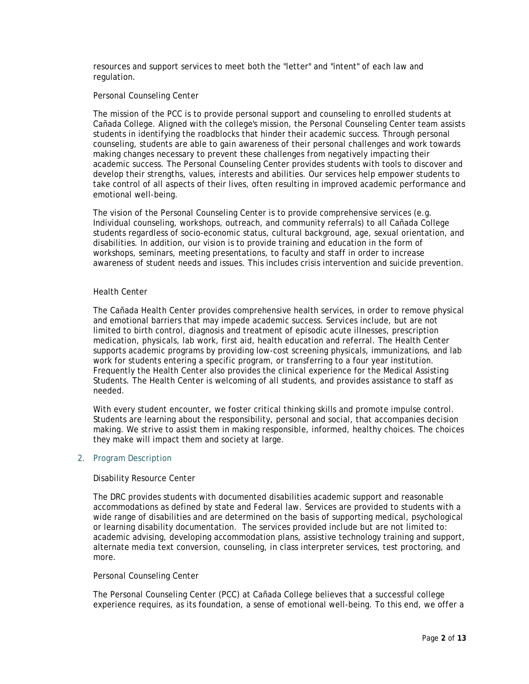resources and support services to meet both the "letter" and "intent" of each law and regulation.

# Personal Counseling Center

The mission of the PCC is to provide personal support and counseling to enrolled students at Cañada College. Aligned with the college's mission, the Personal Counseling Center team assists students in identifying the roadblocks that hinder their academic success. Through personal counseling, students are able to gain awareness of their personal challenges and work towards making changes necessary to prevent these challenges from negatively impacting their academic success. The Personal Counseling Center provides students with tools to discover and develop their strengths, values, interests and abilities. Our services help empower students to take control of all aspects of their lives, often resulting in improved academic performance and emotional well-being.

The vision of the Personal Counseling Center is to provide comprehensive services (e.g. Individual counseling, workshops, outreach, and community referrals) to all Cañada College students regardless of socio-economic status, cultural background, age, sexual orientation, and disabilities. In addition, our vision is to provide training and education in the form of workshops, seminars, meeting presentations, to faculty and staff in order to increase awareness of student needs and issues. This includes crisis intervention and suicide prevention.

### Health Center

The Cañada Health Center provides comprehensive health services, in order to remove physical and emotional barriers that may impede academic success. Services include, but are not limited to birth control, diagnosis and treatment of episodic acute illnesses, prescription medication, physicals, lab work, first aid, health education and referral. The Health Center supports academic programs by providing low-cost screening physicals, immunizations, and lab work for students entering a specific program, or transferring to a four year institution. Frequently the Health Center also provides the clinical experience for the Medical Assisting Students. The Health Center is welcoming of all students, and provides assistance to staff as needed.

With every student encounter, we foster critical thinking skills and promote impulse control. Students are learning about the responsibility, personal and social, that accompanies decision making. We strive to assist them in making responsible, informed, healthy choices. The choices they make will impact them and society at large.

# 2. Program Description

#### Disability Resource Center

The DRC provides students with documented disabilities academic support and reasonable accommodations as defined by state and Federal law. Services are provided to students with a wide range of disabilities and are determined on the basis of supporting medical, psychological or learning disability documentation. The services provided include but are not limited to: academic advising, developing accommodation plans, assistive technology training and support, alternate media text conversion, counseling, in class interpreter services, test proctoring, and more.

#### Personal Counseling Center

The Personal Counseling Center (PCC) at Cañada College believes that a successful college experience requires, as its foundation, a sense of emotional well-being. To this end, we offer a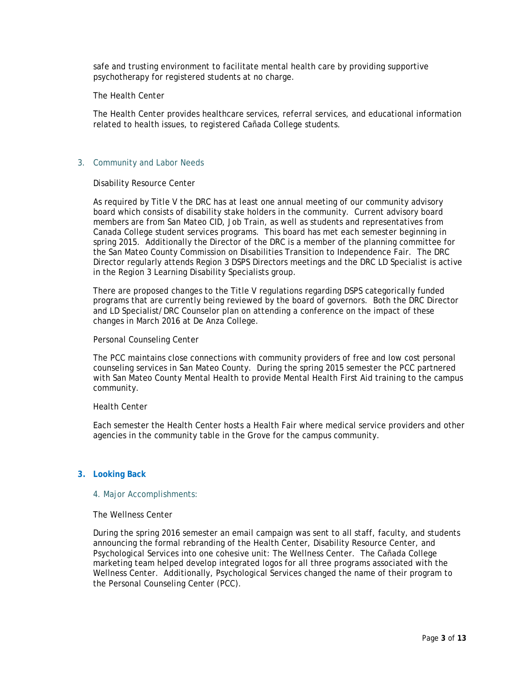safe and trusting environment to facilitate mental health care by providing supportive psychotherapy for registered students at no charge.

### The Health Center

The Health Center provides healthcare services, referral services, and educational information related to health issues, to registered Cañada College students.

# 3. Community and Labor Needs

#### Disability Resource Center

As required by Title V the DRC has at least one annual meeting of our community advisory board which consists of disability stake holders in the community. Current advisory board members are from San Mateo CID, Job Train, as well as students and representatives from Canada College student services programs. This board has met each semester beginning in spring 2015. Additionally the Director of the DRC is a member of the planning committee for the San Mateo County Commission on Disabilities Transition to Independence Fair. The DRC Director regularly attends Region 3 DSPS Directors meetings and the DRC LD Specialist is active in the Region 3 Learning Disability Specialists group.

There are proposed changes to the Title V regulations regarding DSPS categorically funded programs that are currently being reviewed by the board of governors. Both the DRC Director and LD Specialist/DRC Counselor plan on attending a conference on the impact of these changes in March 2016 at De Anza College.

### Personal Counseling Center

The PCC maintains close connections with community providers of free and low cost personal counseling services in San Mateo County. During the spring 2015 semester the PCC partnered with San Mateo County Mental Health to provide Mental Health First Aid training to the campus community.

#### Health Center

Each semester the Health Center hosts a Health Fair where medical service providers and other agencies in the community table in the Grove for the campus community.

# **3. Looking Back**

#### 4. Major Accomplishments:

# The Wellness Center

During the spring 2016 semester an email campaign was sent to all staff, faculty, and students announcing the formal rebranding of the Health Center, Disability Resource Center, and Psychological Services into one cohesive unit: The Wellness Center. The Cañada College marketing team helped develop integrated logos for all three programs associated with the Wellness Center. Additionally, Psychological Services changed the name of their program to the Personal Counseling Center (PCC).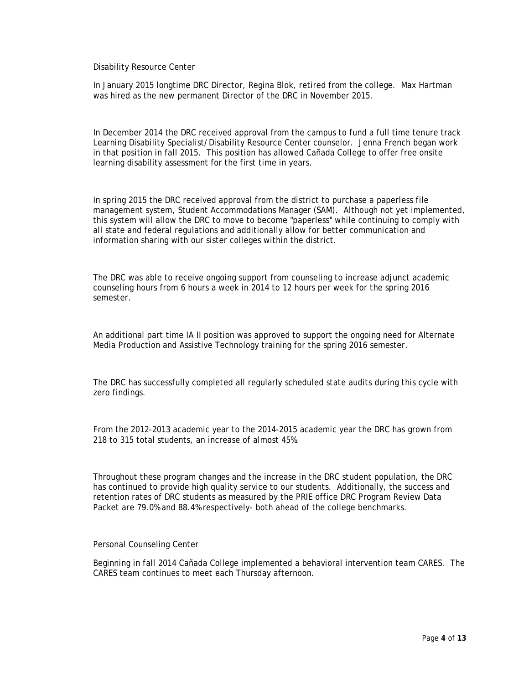Disability Resource Center

In January 2015 longtime DRC Director, Regina Blok, retired from the college. Max Hartman was hired as the new permanent Director of the DRC in November 2015.

In December 2014 the DRC received approval from the campus to fund a full time tenure track Learning Disability Specialist/Disability Resource Center counselor. Jenna French began work in that position in fall 2015. This position has allowed Cañada College to offer free onsite learning disability assessment for the first time in years.

In spring 2015 the DRC received approval from the district to purchase a paperless file management system, Student Accommodations Manager (SAM). Although not yet implemented, this system will allow the DRC to move to become "paperless" while continuing to comply with all state and federal regulations and additionally allow for better communication and information sharing with our sister colleges within the district.

The DRC was able to receive ongoing support from counseling to increase adjunct academic counseling hours from 6 hours a week in 2014 to 12 hours per week for the spring 2016 semester.

An additional part time IA II position was approved to support the ongoing need for Alternate Media Production and Assistive Technology training for the spring 2016 semester.

The DRC has successfully completed all regularly scheduled state audits during this cycle with zero findings.

From the 2012-2013 academic year to the 2014-2015 academic year the DRC has grown from 218 to 315 total students, an increase of almost 45%.

Throughout these program changes and the increase in the DRC student population, the DRC has continued to provide high quality service to our students. Additionally, the success and retention rates of DRC students as measured by the PRIE office DRC Program Review Data Packet are 79.0% and 88.4% respectively- both ahead of the college benchmarks.

# Personal Counseling Center

Beginning in fall 2014 Cañada College implemented a behavioral intervention team CARES. The CARES team continues to meet each Thursday afternoon.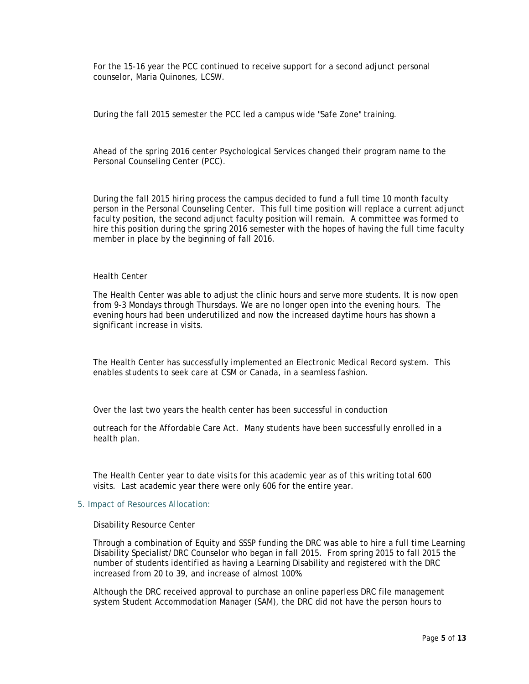For the 15-16 year the PCC continued to receive support for a second adjunct personal counselor, Maria Quinones, LCSW.

During the fall 2015 semester the PCC led a campus wide "Safe Zone" training.

Ahead of the spring 2016 center Psychological Services changed their program name to the Personal Counseling Center (PCC).

During the fall 2015 hiring process the campus decided to fund a full time 10 month faculty person in the Personal Counseling Center. This full time position will replace a current adjunct faculty position, the second adjunct faculty position will remain. A committee was formed to hire this position during the spring 2016 semester with the hopes of having the full time faculty member in place by the beginning of fall 2016.

#### Health Center

The Health Center was able to adjust the clinic hours and serve more students. It is now open from 9-3 Mondays through Thursdays. We are no longer open into the evening hours. The evening hours had been underutilized and now the increased daytime hours has shown a significant increase in visits.

The Health Center has successfully implemented an Electronic Medical Record system. This enables students to seek care at CSM or Canada, in a seamless fashion.

Over the last two years the health center has been successful in conduction

outreach for the Affordable Care Act. Many students have been successfully enrolled in a health plan.

The Health Center year to date visits for this academic year as of this writing total 600 visits. Last academic year there were only 606 for the entire year.

#### 5. Impact of Resources Allocation:

Disability Resource Center

Through a combination of Equity and SSSP funding the DRC was able to hire a full time Learning Disability Specialist/DRC Counselor who began in fall 2015. From spring 2015 to fall 2015 the number of students identified as having a Learning Disability and registered with the DRC increased from 20 to 39, and increase of almost 100%.

Although the DRC received approval to purchase an online paperless DRC file management system Student Accommodation Manager (SAM), the DRC did not have the person hours to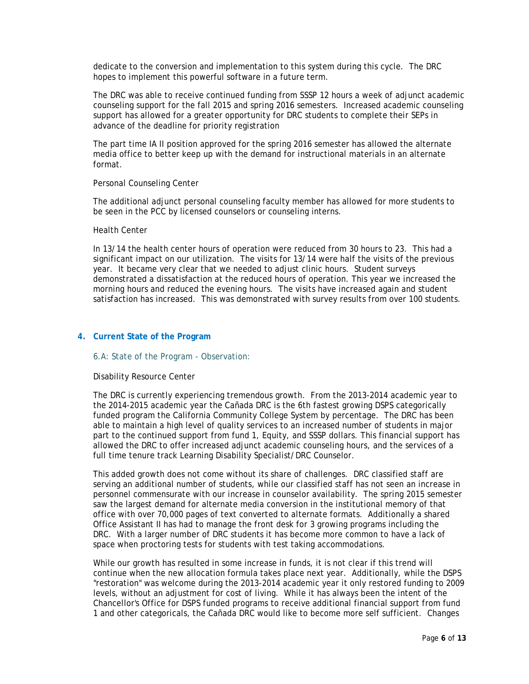dedicate to the conversion and implementation to this system during this cycle. The DRC hopes to implement this powerful software in a future term.

The DRC was able to receive continued funding from SSSP 12 hours a week of adjunct academic counseling support for the fall 2015 and spring 2016 semesters. Increased academic counseling support has allowed for a greater opportunity for DRC students to complete their SEPs in advance of the deadline for priority registration

The part time IA II position approved for the spring 2016 semester has allowed the alternate media office to better keep up with the demand for instructional materials in an alternate format.

#### Personal Counseling Center

The additional adjunct personal counseling faculty member has allowed for more students to be seen in the PCC by licensed counselors or counseling interns.

#### Health Center

In 13/14 the health center hours of operation were reduced from 30 hours to 23. This had a significant impact on our utilization. The visits for 13/14 were half the visits of the previous year. It became very clear that we needed to adjust clinic hours. Student surveys demonstrated a dissatisfaction at the reduced hours of operation. This year we increased the morning hours and reduced the evening hours. The visits have increased again and student satisfaction has increased. This was demonstrated with survey results from over 100 students.

### **4. Current State of the Program**

# 6.A: State of the Program - Observation:

#### Disability Resource Center

The DRC is currently experiencing tremendous growth. From the 2013-2014 academic year to the 2014-2015 academic year the Cañada DRC is the 6th fastest growing DSPS categorically funded program the California Community College System by percentage. The DRC has been able to maintain a high level of quality services to an increased number of students in major part to the continued support from fund 1, Equity, and SSSP dollars. This financial support has allowed the DRC to offer increased adjunct academic counseling hours, and the services of a full time tenure track Learning Disability Specialist/DRC Counselor.

This added growth does not come without its share of challenges. DRC classified staff are serving an additional number of students, while our classified staff has not seen an increase in personnel commensurate with our increase in counselor availability. The spring 2015 semester saw the largest demand for alternate media conversion in the institutional memory of that office with over 70,000 pages of text converted to alternate formats. Additionally a shared Office Assistant II has had to manage the front desk for 3 growing programs including the DRC. With a larger number of DRC students it has become more common to have a lack of space when proctoring tests for students with test taking accommodations.

While our growth has resulted in some increase in funds, it is not clear if this trend will continue when the new allocation formula takes place next year. Additionally, while the DSPS "restoration" was welcome during the 2013-2014 academic year it only restored funding to 2009 levels, without an adjustment for cost of living. While it has always been the intent of the Chancellor's Office for DSPS funded programs to receive additional financial support from fund 1 and other categoricals, the Cañada DRC would like to become more self sufficient. Changes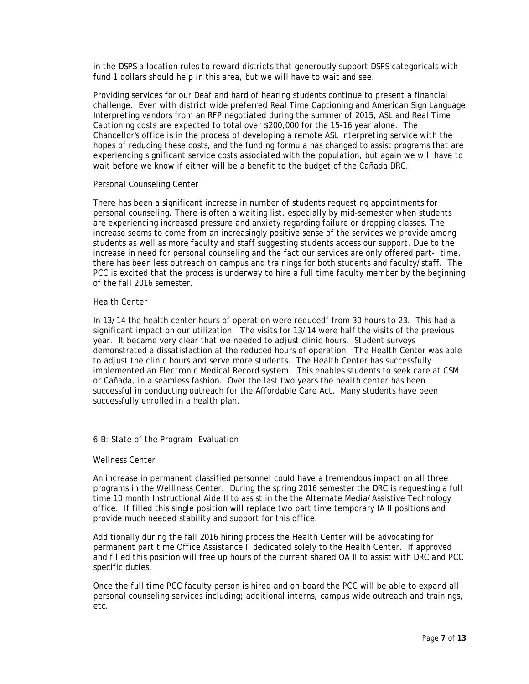in the DSPS allocation rules to reward districts that generously support DSPS categoricals with fund 1 dollars should help in this area, but we will have to wait and see.

Providing services for our Deaf and hard of hearing students continue to present a financial challenge. Even with district wide preferred Real Time Captioning and American Sign Language Interpreting vendors from an RFP negotiated during the summer of 2015, ASL and Real Time Captioning costs are expected to total over \$200,000 for the 15-16 year alone. The Chancellor's office is in the process of developing a remote ASL interpreting service with the hopes of reducing these costs, and the funding formula has changed to assist programs that are experiencing significant service costs associated with the population, but again we will have to wait before we know if either will be a benefit to the budget of the Cañada DRC.

### Personal Counseling Center

There has been a significant increase in number of students requesting appointments for personal counseling. There is often a waiting list, especially by mid-semester when students are experiencing increased pressure and anxiety regarding failure or dropping classes. The increase seems to come from an increasingly positive sense of the services we provide among students as well as more faculty and staff suggesting students access our support. Due to the increase in need for personal counseling and the fact our services are only offered part- time, there has been less outreach on campus and trainings for both students and faculty/staff. The PCC is excited that the process is underway to hire a full time faculty member by the beginning of the fall 2016 semester.

### Health Center

In 13/14 the health center hours of operation were reducedf from 30 hours to 23. This had a significant impact on our utilization. The visits for 13/14 were half the visits of the previous year. It became very clear that we needed to adjust clinic hours. Student surveys demonstrated a dissatisfaction at the reduced hours of operation. The Health Center was able to adjust the clinic hours and serve more students. The Health Center has successfully implemented an Electronic Medical Record system. This enables students to seek care at CSM or Cañada, in a seamless fashion. Over the last two years the health center has been successful in conducting outreach for the Affordable Care Act. Many students have been successfully enrolled in a health plan.

# 6.B: State of the Program- Evaluation

#### Wellness Center

An increase in permanent classified personnel could have a tremendous impact on all three programs in the Welllness Center. During the spring 2016 semester the DRC is requesting a full time 10 month Instructional Aide II to assist in the the Alternate Media/Assistive Technology office. If filled this single position will replace two part time temporary IA II positions and provide much needed stability and support for this office.

Additionally during the fall 2016 hiring process the Health Center will be advocating for permanent part time Office Assistance II dedicated solely to the Health Center. If approved and filled this position will free up hours of the current shared OA II to assist with DRC and PCC specific duties.

Once the full time PCC faculty person is hired and on board the PCC will be able to expand all personal counseling services including; additional interns, campus wide outreach and trainings, etc.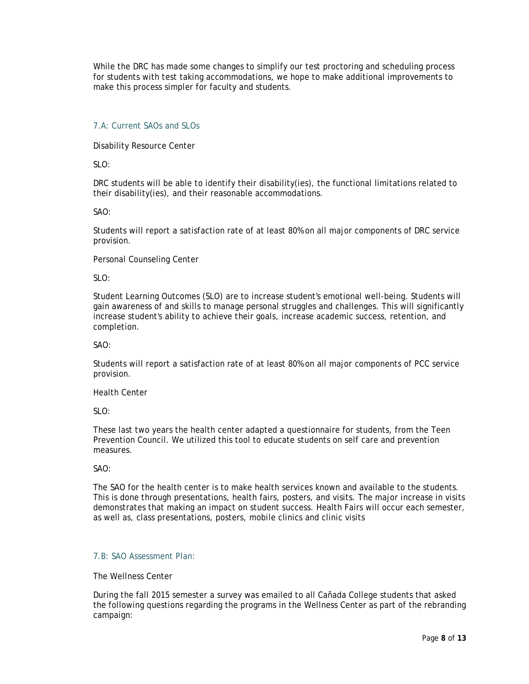While the DRC has made some changes to simplify our test proctoring and scheduling process for students with test taking accommodations, we hope to make additional improvements to make this process simpler for faculty and students.

# 7.A: Current SAOs and SLOs

Disability Resource Center

SLO:

DRC students will be able to identify their disability(ies), the functional limitations related to their disability(ies), and their reasonable accommodations.

SAO:

Students will report a satisfaction rate of at least 80% on all major components of DRC service provision.

Personal Counseling Center

 $SI$  O:

Student Learning Outcomes (SLO) are to increase student's emotional well-being. Students will gain awareness of and skills to manage personal struggles and challenges. This will significantly increase student's ability to achieve their goals, increase academic success, retention, and completion.

SAO:

Students will report a satisfaction rate of at least 80% on all major components of PCC service provision.

Health Center

 $SI$  O:

These last two years the health center adapted a questionnaire for students, from the Teen Prevention Council. We utilized this tool to educate students on self care and prevention measures.

SAO:

The SAO for the health center is to make health services known and available to the students. This is done through presentations, health fairs, posters, and visits. The major increase in visits demonstrates that making an impact on student success. Health Fairs will occur each semester, as well as, class presentations, posters, mobile clinics and clinic visits

# 7.B: SAO Assessment Plan:

The Wellness Center

During the fall 2015 semester a survey was emailed to all Cañada College students that asked the following questions regarding the programs in the Wellness Center as part of the rebranding campaign: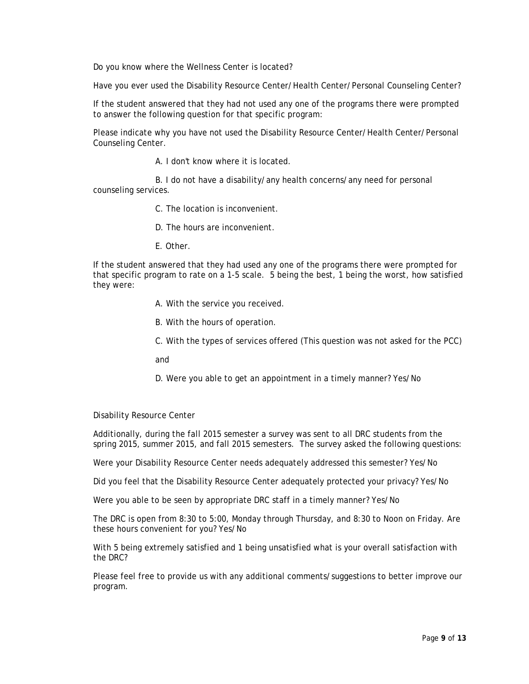Do you know where the Wellness Center is located?

Have you ever used the Disability Resource Center/Health Center/Personal Counseling Center?

If the student answered that they had not used any one of the programs there were prompted to answer the following question for that specific program:

Please indicate why you have not used the Disability Resource Center/Health Center/Personal Counseling Center.

A. I don't know where it is located.

B. I do not have a disability/any health concerns/any need for personal counseling services.

C. The location is inconvenient.

D. The hours are inconvenient.

E. Other.

If the student answered that they had used any one of the programs there were prompted for that specific program to rate on a 1-5 scale. 5 being the best, 1 being the worst, how satisfied they were:

A. With the service you received.

B. With the hours of operation.

C. With the types of services offered (This question was not asked for the PCC)

and

D. Were you able to get an appointment in a timely manner? Yes/No

Disability Resource Center

Additionally, during the fall 2015 semester a survey was sent to all DRC students from the spring 2015, summer 2015, and fall 2015 semesters. The survey asked the following questions:

Were your Disability Resource Center needs adequately addressed this semester? Yes/No

Did you feel that the Disability Resource Center adequately protected your privacy? Yes/No

Were you able to be seen by appropriate DRC staff in a timely manner? Yes/No

The DRC is open from 8:30 to 5:00, Monday through Thursday, and 8:30 to Noon on Friday. Are these hours convenient for you? Yes/No

With 5 being extremely satisfied and 1 being unsatisfied what is your overall satisfaction with the DRC?

Please feel free to provide us with any additional comments/suggestions to better improve our program.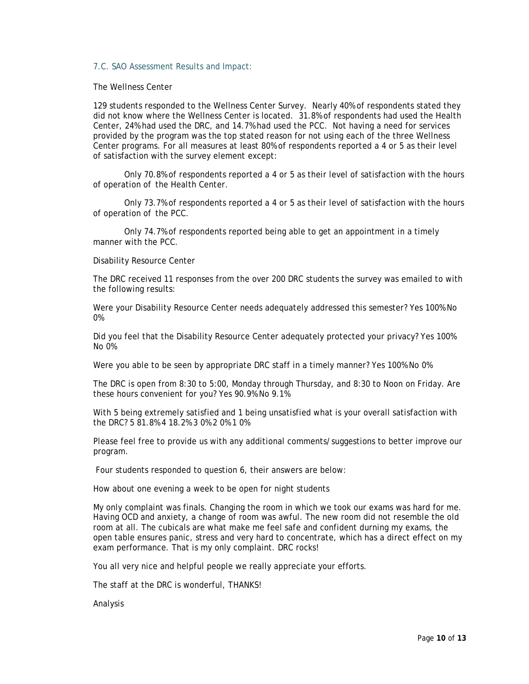### 7.C. SAO Assessment Results and Impact:

The Wellness Center

129 students responded to the Wellness Center Survey. Nearly 40% of respondents stated they did not know where the Wellness Center is located. 31.8% of respondents had used the Health Center, 24% had used the DRC, and 14.7% had used the PCC. Not having a need for services provided by the program was the top stated reason for not using each of the three Wellness Center programs. For all measures at least 80% of respondents reported a 4 or 5 as their level of satisfaction with the survey element except:

Only 70.8% of respondents reported a 4 or 5 as their level of satisfaction with the hours of operation of the Health Center.

Only 73.7% of respondents reported a 4 or 5 as their level of satisfaction with the hours of operation of the PCC.

Only 74.7% of respondents reported being able to get an appointment in a timely manner with the PCC.

Disability Resource Center

The DRC received 11 responses from the over 200 DRC students the survey was emailed to with the following results:

Were your Disability Resource Center needs adequately addressed this semester? Yes 100% No 0%

Did you feel that the Disability Resource Center adequately protected your privacy? Yes 100% No 0%

Were you able to be seen by appropriate DRC staff in a timely manner? Yes 100% No 0%

The DRC is open from 8:30 to 5:00, Monday through Thursday, and 8:30 to Noon on Friday. Are these hours convenient for you? Yes 90.9% No 9.1%

With 5 being extremely satisfied and 1 being unsatisfied what is your overall satisfaction with the DRC? 5 81.8% 4 18.2% 3 0% 2 0% 1 0%

Please feel free to provide us with any additional comments/suggestions to better improve our program.

Four students responded to question 6, their answers are below:

How about one evening a week to be open for night students

My only complaint was finals. Changing the room in which we took our exams was hard for me. Having OCD and anxiety, a change of room was awful. The new room did not resemble the old room at all. The cubicals are what make me feel safe and confident durning my exams, the open table ensures panic, stress and very hard to concentrate, which has a direct effect on my exam performance. That is my only complaint. DRC rocks!

You all very nice and helpful people we really appreciate your efforts.

The staff at the DRC is wonderful, THANKS!

Analysis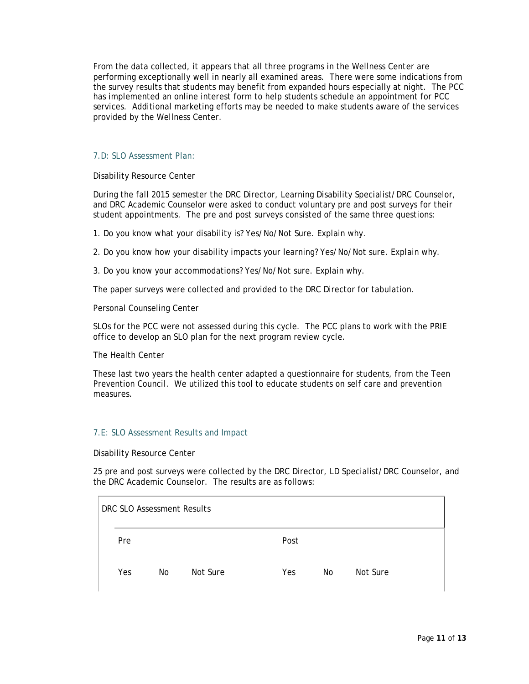From the data collected, it appears that all three programs in the Wellness Center are performing exceptionally well in nearly all examined areas. There were some indications from the survey results that students may benefit from expanded hours especially at night. The PCC has implemented an online interest form to help students schedule an appointment for PCC services. Additional marketing efforts may be needed to make students aware of the services provided by the Wellness Center.

# 7.D: SLO Assessment Plan:

Disability Resource Center

During the fall 2015 semester the DRC Director, Learning Disability Specialist/DRC Counselor, and DRC Academic Counselor were asked to conduct voluntary pre and post surveys for their student appointments. The pre and post surveys consisted of the same three questions:

1. Do you know what your disability is? Yes/No/Not Sure. Explain why.

2. Do you know how your disability impacts your learning? Yes/No/Not sure. Explain why.

3. Do you know your accommodations? Yes/No/Not sure. Explain why.

The paper surveys were collected and provided to the DRC Director for tabulation.

Personal Counseling Center

SLOs for the PCC were not assessed during this cycle. The PCC plans to work with the PRIE office to develop an SLO plan for the next program review cycle.

The Health Center

These last two years the health center adapted a questionnaire for students, from the Teen Prevention Council. We utilized this tool to educate students on self care and prevention measures.

#### 7.E: SLO Assessment Results and Impact

Disability Resource Center

25 pre and post surveys were collected by the DRC Director, LD Specialist/DRC Counselor, and the DRC Academic Counselor. The results are as follows:

|  | DRC SLO Assessment Results |    |          |      |    |          |  |  |  |
|--|----------------------------|----|----------|------|----|----------|--|--|--|
|  | Pre                        |    |          | Post |    |          |  |  |  |
|  | Yes                        | No | Not Sure | Yes  | No | Not Sure |  |  |  |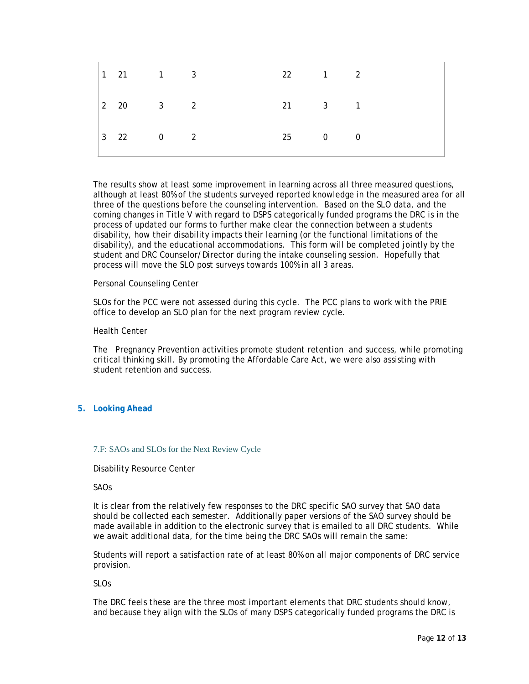|  | $\begin{vmatrix} 1 & 21 & 1 & 3 \end{vmatrix}$ |  | $22 \qquad \qquad 1 \qquad \qquad 2$ |  |  |
|--|------------------------------------------------|--|--------------------------------------|--|--|
|  | $\begin{vmatrix} 2 & 20 & 3 & 2 \end{vmatrix}$ |  | 21 3 1                               |  |  |
|  | $\begin{vmatrix} 3 & 22 & 0 & 2 \end{vmatrix}$ |  | 25 0 0                               |  |  |

The results show at least some improvement in learning across all three measured questions, although at least 80% of the students surveyed reported knowledge in the measured area for all three of the questions before the counseling intervention. Based on the SLO data, and the coming changes in Title V with regard to DSPS categorically funded programs the DRC is in the process of updated our forms to further make clear the connection between a students disability, how their disability impacts their learning (or the functional limitations of the disability), and the educational accommodations. This form will be completed jointly by the student and DRC Counselor/Director during the intake counseling session. Hopefully that process will move the SLO post surveys towards 100% in all 3 areas.

### Personal Counseling Center

SLOs for the PCC were not assessed during this cycle. The PCC plans to work with the PRIE office to develop an SLO plan for the next program review cycle.

#### Health Center

The Pregnancy Prevention activities promote student retention and success, while promoting critical thinking skill. By promoting the Affordable Care Act, we were also assisting with student retention and success.

# **5. Looking Ahead**

# 7.F: SAOs and SLOs for the Next Review Cycle

#### Disability Resource Center

#### SAOs

It is clear from the relatively few responses to the DRC specific SAO survey that SAO data should be collected each semester. Additionally paper versions of the SAO survey should be made available in addition to the electronic survey that is emailed to all DRC students. While we await additional data, for the time being the DRC SAOs will remain the same:

Students will report a satisfaction rate of at least 80% on all major components of DRC service provision.

SLOs

The DRC feels these are the three most important elements that DRC students should know, and because they align with the SLOs of many DSPS categorically funded programs the DRC is